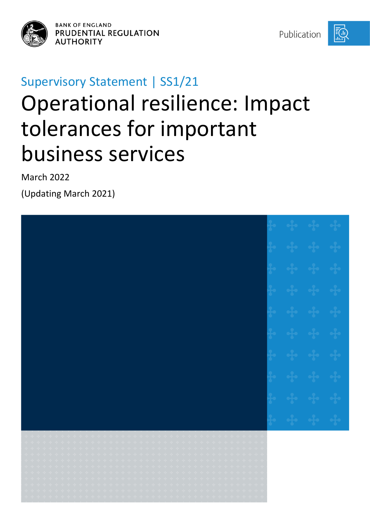

**BANK OF ENGLAND PRUDENTIAL REGULATION AUTHORITY** 

Publication



# Supervisory Statement | SS1/21 Operational resilience: Impact tolerances for important business services

March 2022

(Updating March 2021)

| ;<br>; ; ; ; ; ; ; ; ; ; ; ; ; ; ; ; ; ;<br>; ; ; ; ; ; ; ; ; ; ; ; ; ; ; ; ;<br>; ; ; ; ; ; ; ; ; ; ; ; ; ; ; ; ;<br>; ; ; ; ; ; ; ; ; ; ; ; ; ; ; ; ;                                                                                                                                                                                                                                                                                                                                                                                                                                                                                                                                                                                                                                                                                                                                                                                                                                                                                                                                                                                                                                                                                                                                                                                                                                                                                                                                                                                                                                                                                                                                                                                                                                                                                                                                                                                                                                     |  |  |
|---------------------------------------------------------------------------------------------------------------------------------------------------------------------------------------------------------------------------------------------------------------------------------------------------------------------------------------------------------------------------------------------------------------------------------------------------------------------------------------------------------------------------------------------------------------------------------------------------------------------------------------------------------------------------------------------------------------------------------------------------------------------------------------------------------------------------------------------------------------------------------------------------------------------------------------------------------------------------------------------------------------------------------------------------------------------------------------------------------------------------------------------------------------------------------------------------------------------------------------------------------------------------------------------------------------------------------------------------------------------------------------------------------------------------------------------------------------------------------------------------------------------------------------------------------------------------------------------------------------------------------------------------------------------------------------------------------------------------------------------------------------------------------------------------------------------------------------------------------------------------------------------------------------------------------------------------------------------------------------------|--|--|
| $\begin{array}{cccccccccccccc} \bullet & \bullet & \bullet & \bullet & \bullet & \bullet & \bullet & \bullet \end{array}$<br>$\begin{array}{ccccccccc} \mathbf{q} & \mathbf{q} & \mathbf{q} & \mathbf{q} & \mathbf{q} & \mathbf{q} & \mathbf{q} \end{array}$<br>والمواطورية<br>$\begin{array}{cccccccccc} \neg\varphi & \neg\varphi & \neg\varphi & \neg\varphi & \neg\varphi & \neg\varphi & \neg\varphi \end{array}$<br>$\begin{array}{ccccccccccccc} \bullet & \bullet & \bullet & \bullet & \bullet & \bullet & \bullet & \bullet & \bullet \end{array}$                                                                                                                                                                                                                                                                                                                                                                                                                                                                                                                                                                                                                                                                                                                                                                                                                                                                                                                                                                                                                                                                                                                                                                                                                                                                                                                                                                                                                                |  |  |
| $\label{eq:3.1} -\frac{1}{4} \epsilon = \frac{1}{4} \epsilon = \frac{1}{4} \epsilon = \frac{1}{4} \epsilon = \frac{1}{4} \epsilon = \frac{1}{4} \epsilon = \epsilon$<br>$\label{eq:3.1} \begin{array}{lllllllllllllllll} \alpha & \alpha & \alpha & \alpha & \alpha & \alpha & \alpha \end{array}$<br>$\mathcal{A}_{\mathcal{P}}$ , $\mathcal{A}_{\mathcal{P}}$ , $\mathcal{A}_{\mathcal{P}}$ ,<br>$\label{eq:4} \begin{array}{lllllllllllllllllll} \bullet & \bullet & \bullet & \bullet & \bullet \end{array}$<br>$\begin{bmatrix} 1 & 1 & 1 \\ 1 & 1 & 1 \end{bmatrix}$<br>$\begin{array}{cccccccccc} -\frac{1}{2} & -\frac{1}{2} & -\frac{1}{2} & -\frac{1}{2} & -\frac{1}{2} \end{array}$<br>$\label{eq:3.1} \begin{array}{ccccccccccccc} \alpha\beta\gamma & \alpha\beta & \alpha\beta\gamma & \alpha\beta & \alpha\beta\gamma & \alpha\beta\gamma & \alpha\beta\gamma & \alpha\beta\gamma & \alpha\beta\gamma & \alpha\beta\gamma & \alpha\beta\gamma \end{array}$<br>$\label{eq:3.1} -\frac{1}{4} \epsilon = \frac{1}{4} \epsilon = \frac{1}{4} \epsilon = \frac{1}{4} \epsilon = \frac{1}{4} \epsilon = \frac{1}{4} \epsilon =$<br>$\label{eq:3.1} -\frac{1}{4} \epsilon \quad \frac{1}{4} \epsilon \quad \frac{1}{4} \epsilon \quad \frac{1}{4} \epsilon \quad \frac{1}{4}$<br>$\left\langle \frac{1}{2} \right\rangle = \left\{ \frac{1}{2} \right\} = \left\{ \frac{1}{2} \right\}$<br>$\begin{array}{cccccccccc} \bullet & \bullet & \bullet & \bullet & \bullet & \bullet & \bullet & \bullet \end{array}$<br>$\label{eq:4} \begin{array}{lllllllllllllllllll} \bullet & \frac{1}{4} \circ & \frac{1}{4} \circ & \frac{1}{4} \circ & \frac{1}{4} \circ & \frac{1}{4} \circ & \frac{1}{4} \circ & \frac{1}{4} \circ & \frac{1}{4} \circ & \frac{1}{4} \circ & \frac{1}{4} \circ & \frac{1}{4} \circ & \frac{1}{4} \circ & \frac{1}{4} \circ & \frac{1}{4} \circ & \frac{1}{4} \circ & \frac{1}{4} \circ & \frac{1}{4} \circ & \frac{1}{4} \circ & \frac{1}{4} \circ & \frac{1$ |  |  |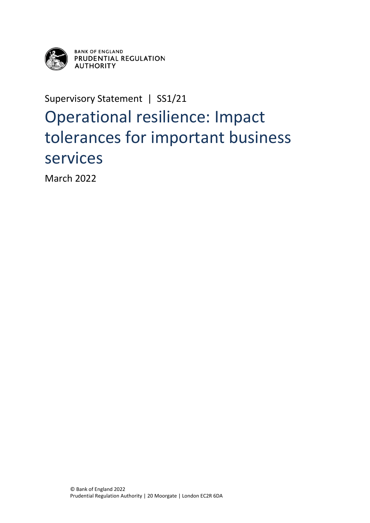

**BANK OF ENGLAND** PRUDENTIAL REGULATION **AUTHORITY** 

Supervisory Statement | SS1/21

## Operational resilience: Impact tolerances for important business services

March 2022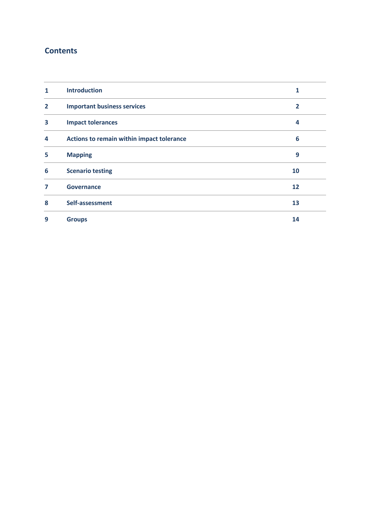## **Contents**

| 1              | <b>Introduction</b>                       | 1  |
|----------------|-------------------------------------------|----|
| $\overline{2}$ | <b>Important business services</b>        | 2  |
| 3              | <b>Impact tolerances</b>                  | 4  |
| 4              | Actions to remain within impact tolerance | 6  |
| 5              | <b>Mapping</b>                            | 9  |
| 6              | <b>Scenario testing</b>                   | 10 |
| 7              | <b>Governance</b>                         | 12 |
| 8              | Self-assessment                           | 13 |
| 9              | <b>Groups</b>                             | 14 |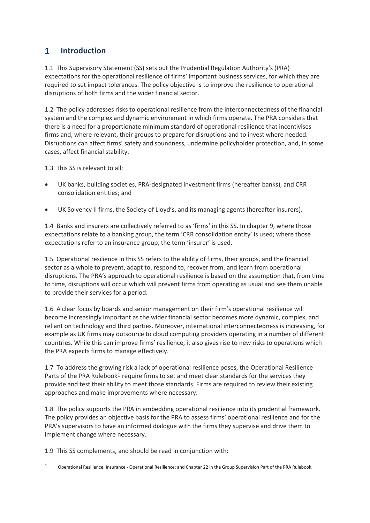#### <span id="page-3-0"></span> $\mathbf{1}$ **Introduction**

1.1 This Supervisory Statement (SS) sets out the Prudential Regulation Authority's (PRA) expectations for the operational resilience of firms' important business services, for which they are required to set impact tolerances. The policy objective is to improve the resilience to operational disruptions of both firms and the wider financial sector.

1.2 The policy addresses risks to operational resilience from the interconnectedness of the financial system and the complex and dynamic environment in which firms operate. The PRA considers that there is a need for a proportionate minimum standard of operational resilience that incentivises firms and, where relevant, their groups to prepare for disruptions and to invest where needed. Disruptions can affect firms' safety and soundness, undermine policyholder protection, and, in some cases, affect financial stability.

1.3 This SS is relevant to all:

- UK banks, building societies, PRA-designated investment firms (hereafter banks), and CRR consolidation entities; and
- UK Solvency II firms, the Society of Lloyd's, and its managing agents (hereafter insurers).

1.4 Banks and insurers are collectively referred to as 'firms' in this SS. In chapter 9, where those expectations relate to a banking group, the term 'CRR consolidation entity' is used; where those expectations refer to an insurance group, the term 'insurer' is used.

1.5 Operational resilience in this SS refers to the ability of firms, their groups, and the financial sector as a whole to prevent, adapt to, respond to, recover from, and learn from operational disruptions. The PRA's approach to operational resilience is based on the assumption that, from time to time, disruptions will occur which will prevent firms from operating as usual and see them unable to provide their services for a period.

1.6 A clear focus by boards and senior management on their firm's operational resilience will become increasingly important as the wider financial sector becomes more dynamic, complex, and reliant on technology and third parties. Moreover, international interconnectedness is increasing, for example as UK firms may outsource to cloud computing providers operating in a number of different countries. While this can improve firms' resilience, it also gives rise to new risks to operations which the PRA expects firms to manage effectively.

1.7 To address the growing risk a lack of operational resilience poses, the Operational Resilience Parts of the PRA Rulebook<sup>1</sup> require firms to set and meet clear standards for the services they provide and test their ability to meet those standards. Firms are required to review their existing approaches and make improvements where necessary.

1.8 The policy supports the PRA in embedding operational resilience into its prudential framework. The policy provides an objective basis for the PRA to assess firms' operational resilience and for the PRA's supervisors to have an informed dialogue with the firms they supervise and drive them to implement change where necessary.

1.9 This SS complements, and should be read in conjunction with:

1 Operational Resilience; Insurance - Operational Resilience; and Chapter 22 in the Group Supervision Part of the PRA Rulebook.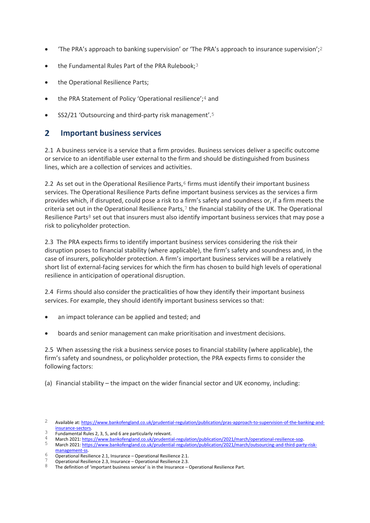- 'The PRA's approach to banking supervision' or 'The PRA's approach to insurance supervision';<sup>2</sup>
- the Fundamental Rules Part of the PRA Rulebook;<sup>3</sup>
- the Operational Resilience Parts;
- the PRA Statement of Policy 'Operational resilience';<sup>4</sup> and
- SS2/21 'Outsourcing and third-party risk management'.<sup>5</sup>

#### <span id="page-4-0"></span> $\overline{2}$ **Important business services**

2.1 A business service is a service that a firm provides. Business services deliver a specific outcome or service to an identifiable user external to the firm and should be distinguished from business lines, which are a collection of services and activities.

2.2 As set out in the Operational Resilience Parts,<sup>6</sup> firms must identify their important business services. The Operational Resilience Parts define important business services as the services a firm provides which, if disrupted, could pose a risk to a firm's safety and soundness or, if a firm meets the criteria set out in the Operational Resilience Parts,7 the financial stability of the UK. The Operational Resilience Parts $8$  set out that insurers must also identify important business services that may pose a risk to policyholder protection.

2.3 The PRA expects firms to identify important business services considering the risk their disruption poses to financial stability (where applicable), the firm's safety and soundness and, in the case of insurers, policyholder protection. A firm's important business services will be a relatively short list of external-facing services for which the firm has chosen to build high levels of operational resilience in anticipation of operational disruption.

2.4 Firms should also consider the practicalities of how they identify their important business services. For example, they should identify important business services so that:

- an impact tolerance can be applied and tested; and
- boards and senior management can make prioritisation and investment decisions.

2.5 When assessing the risk a business service poses to financial stability (where applicable), the firm's safety and soundness, or policyholder protection, the PRA expects firms to consider the following factors:

(a) Financial stability – the impact on the wider financial sector and UK economy, including:

- <sup>3</sup> Fundamental Rules 2, 3, 5, and 6 are particularly relevant.
- 4 March 2021[: https://www.bankofengland.co.uk/prudential-regulation/publication/2021/march/operational-resilience-sop.](https://www.bankofengland.co.uk/prudential-regulation/publication/2021/march/operational-resilience-sop)

<sup>2</sup> Available at[: https://www.bankofengland.co.uk/prudential-regulation/publication/pras-approach-to-supervision-of-the-banking-and](https://www.bankofengland.co.uk/prudential-regulation/publication/pras-approach-to-supervision-of-the-banking-and-insurance-sectors)[insurance-sectors.](https://www.bankofengland.co.uk/prudential-regulation/publication/pras-approach-to-supervision-of-the-banking-and-insurance-sectors) 

march 2021[: https://www.bankofengland.co.uk/prudential-regulation/publication/2021/march/outsourcing-and-third-party-risk](https://www.bankofengland.co.uk/prudential-regulation/publication/2021/march/outsourcing-and-third-party-risk-management-ss)[management-ss.](https://www.bankofengland.co.uk/prudential-regulation/publication/2021/march/outsourcing-and-third-party-risk-management-ss)

<sup>6</sup> Operational Resilience 2.1, Insurance – Operational Resilience 2.1.

<sup>7</sup> Operational Resilience 2.3, Insurance – Operational Resilience 2.3.

<sup>8</sup> The definition of 'important business service' is in the Insurance – Operational Resilience Part.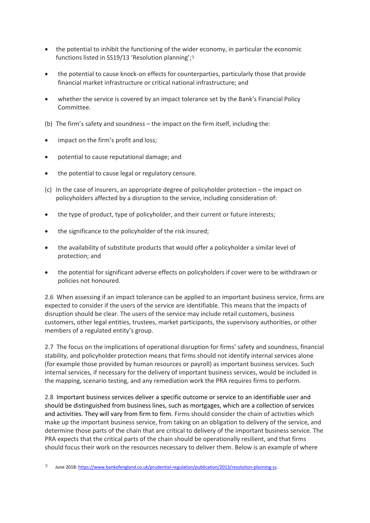- the potential to inhibit the functioning of the wider economy, in particular the economic functions listed in SS19/13 'Resolution planning';9
- the potential to cause knock-on effects for counterparties, particularly those that provide financial market infrastructure or critical national infrastructure; and
- whether the service is covered by an impact tolerance set by the Bank's Financial Policy Committee.
- (b) The firm's safety and soundness the impact on the firm itself, including the:
- impact on the firm's profit and loss;
- potential to cause reputational damage; and
- the potential to cause legal or regulatory censure.
- (c) In the case of insurers, an appropriate degree of policyholder protection the impact on policyholders affected by a disruption to the service, including consideration of:
- the type of product, type of policyholder, and their current or future interests;
- the significance to the policyholder of the risk insured;
- the availability of substitute products that would offer a policyholder a similar level of protection; and
- the potential for significant adverse effects on policyholders if cover were to be withdrawn or policies not honoured.

2.6 When assessing if an impact tolerance can be applied to an important business service, firms are expected to consider if the users of the service are identifiable. This means that the impacts of disruption should be clear. The users of the service may include retail customers, business customers, other legal entities, trustees, market participants, the supervisory authorities, or other members of a regulated entity's group.

2.7 The focus on the implications of operational disruption for firms' safety and soundness, financial stability, and policyholder protection means that firms should not identify internal services alone (for example those provided by human resources or payroll) as important business services. Such internal services, if necessary for the delivery of important business services, would be included in the mapping, scenario testing, and any remediation work the PRA requires firms to perform.

2.8 Important business services deliver a specific outcome or service to an identifiable user and should be distinguished from business lines, such as mortgages, which are a collection of services and activities. They will vary from firm to firm. Firms should consider the chain of activities which make up the important business service, from taking on an obligation to delivery of the service, and determine those parts of the chain that are critical to delivery of the important business service. The PRA expects that the critical parts of the chain should be operationally resilient, and that firms should focus their work on the resources necessary to deliver them. Below is an example of where

<sup>9</sup> June 2018[: https://www.bankofengland.co.uk/prudential-regulation/publication/2013/resolution-planning-ss.](https://www.bankofengland.co.uk/prudential-regulation/publication/2013/resolution-planning-ss)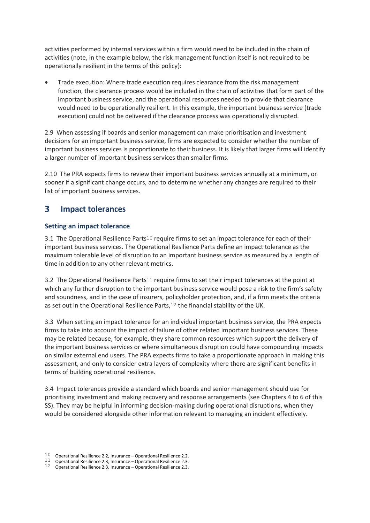activities performed by internal services within a firm would need to be included in the chain of activities (note, in the example below, the risk management function itself is not required to be operationally resilient in the terms of this policy):

 Trade execution: Where trade execution requires clearance from the risk management function, the clearance process would be included in the chain of activities that form part of the important business service, and the operational resources needed to provide that clearance would need to be operationally resilient. In this example, the important business service (trade execution) could not be delivered if the clearance process was operationally disrupted.

2.9 When assessing if boards and senior management can make prioritisation and investment decisions for an important business service, firms are expected to consider whether the number of important business services is proportionate to their business. It is likely that larger firms will identify a larger number of important business services than smaller firms.

2.10 The PRA expects firms to review their important business services annually at a minimum, or sooner if a significant change occurs, and to determine whether any changes are required to their list of important business services.

#### <span id="page-6-0"></span>3 **Impact tolerances**

## **Setting an impact tolerance**

3.1 The Operational Resilience Parts<sup>10</sup> require firms to set an impact tolerance for each of their important business services. The Operational Resilience Parts define an impact tolerance as the maximum tolerable level of disruption to an important business service as measured by a length of time in addition to any other relevant metrics.

3.2 The Operational Resilience Parts<sup>11</sup> require firms to set their impact tolerances at the point at which any further disruption to the important business service would pose a risk to the firm's safety and soundness, and in the case of insurers, policyholder protection, and, if a firm meets the criteria as set out in the Operational Resilience Parts,<sup>12</sup> the financial stability of the UK.

3.3 When setting an impact tolerance for an individual important business service, the PRA expects firms to take into account the impact of failure of other related important business services. These may be related because, for example, they share common resources which support the delivery of the important business services or where simultaneous disruption could have compounding impacts on similar external end users. The PRA expects firms to take a proportionate approach in making this assessment, and only to consider extra layers of complexity where there are significant benefits in terms of building operational resilience.

3.4 Impact tolerances provide a standard which boards and senior management should use for prioritising investment and making recovery and response arrangements (see Chapters 4 to 6 of this SS). They may be helpful in informing decision-making during operational disruptions, when they would be considered alongside other information relevant to managing an incident effectively.

 $10$  Operational Resilience 2.2, Insurance – Operational Resilience 2.2.

 $11$  Operational Resilience 2.3, Insurance – Operational Resilience 2.3.

 $12$  Operational Resilience 2.3, Insurance – Operational Resilience 2.3.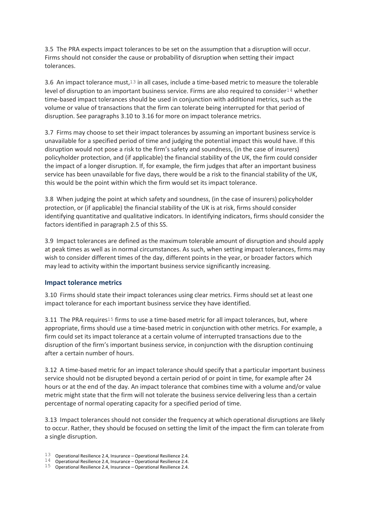3.5 The PRA expects impact tolerances to be set on the assumption that a disruption will occur. Firms should not consider the cause or probability of disruption when setting their impact tolerances.

3.6 An impact tolerance must, $13$  in all cases, include a time-based metric to measure the tolerable level of disruption to an important business service. Firms are also required to consider<sup>14</sup> whether time-based impact tolerances should be used in conjunction with additional metrics, such as the volume or value of transactions that the firm can tolerate being interrupted for that period of disruption. See paragraphs 3.10 to 3.16 for more on impact tolerance metrics.

3.7 Firms may choose to set their impact tolerances by assuming an important business service is unavailable for a specified period of time and judging the potential impact this would have. If this disruption would not pose a risk to the firm's safety and soundness, (in the case of insurers) policyholder protection, and (if applicable) the financial stability of the UK, the firm could consider the impact of a longer disruption. If, for example, the firm judges that after an important business service has been unavailable for five days, there would be a risk to the financial stability of the UK, this would be the point within which the firm would set its impact tolerance.

3.8 When judging the point at which safety and soundness, (in the case of insurers) policyholder protection, or (if applicable) the financial stability of the UK is at risk, firms should consider identifying quantitative and qualitative indicators. In identifying indicators, firms should consider the factors identified in paragraph 2.5 of this SS.

3.9 Impact tolerances are defined as the maximum tolerable amount of disruption and should apply at peak times as well as in normal circumstances. As such, when setting impact tolerances, firms may wish to consider different times of the day, different points in the year, or broader factors which may lead to activity within the important business service significantly increasing.

### **Impact tolerance metrics**

3.10 Firms should state their impact tolerances using clear metrics. Firms should set at least one impact tolerance for each important business service they have identified.

3.11 The PRA requires<sup>15</sup> firms to use a time-based metric for all impact tolerances, but, where appropriate, firms should use a time-based metric in conjunction with other metrics. For example, a firm could set its impact tolerance at a certain volume of interrupted transactions due to the disruption of the firm's important business service, in conjunction with the disruption continuing after a certain number of hours.

3.12 A time-based metric for an impact tolerance should specify that a particular important business service should not be disrupted beyond a certain period of or point in time, for example after 24 hours or at the end of the day. An impact tolerance that combines time with a volume and/or value metric might state that the firm will not tolerate the business service delivering less than a certain percentage of normal operating capacity for a specified period of time.

3.13 Impact tolerances should not consider the frequency at which operational disruptions are likely to occur. Rather, they should be focused on setting the limit of the impact the firm can tolerate from a single disruption.

13 Operational Resilience 2.4, Insurance – Operational Resilience 2.4.

 $14$  Operational Resilience 2.4, Insurance – Operational Resilience 2.4.

 $15$  Operational Resilience 2.4, Insurance – Operational Resilience 2.4.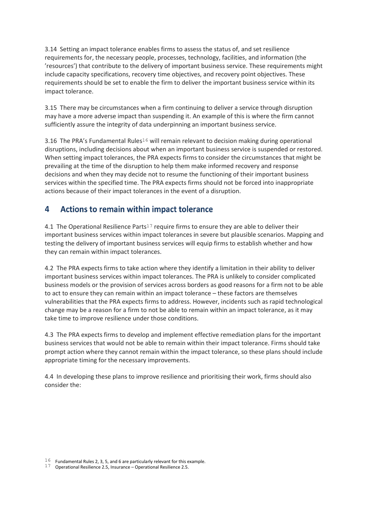3.14 Setting an impact tolerance enables firms to assess the status of, and set resilience requirements for, the necessary people, processes, technology, facilities, and information (the 'resources') that contribute to the delivery of important business service. These requirements might include capacity specifications, recovery time objectives, and recovery point objectives. These requirements should be set to enable the firm to deliver the important business service within its impact tolerance.

3.15 There may be circumstances when a firm continuing to deliver a service through disruption may have a more adverse impact than suspending it. An example of this is where the firm cannot sufficiently assure the integrity of data underpinning an important business service.

3.16 The PRA's Fundamental Rules<sup>16</sup> will remain relevant to decision making during operational disruptions, including decisions about when an important business service is suspended or restored. When setting impact tolerances, the PRA expects firms to consider the circumstances that might be prevailing at the time of the disruption to help them make informed recovery and response decisions and when they may decide not to resume the functioning of their important business services within the specified time. The PRA expects firms should not be forced into inappropriate actions because of their impact tolerances in the event of a disruption.

#### <span id="page-8-0"></span>**Actions to remain within impact tolerance** 4

4.1 The Operational Resilience Parts<sup>17</sup> require firms to ensure they are able to deliver their important business services within impact tolerances in severe but plausible scenarios. Mapping and testing the delivery of important business services will equip firms to establish whether and how they can remain within impact tolerances.

4.2 The PRA expects firms to take action where they identify a limitation in their ability to deliver important business services within impact tolerances. The PRA is unlikely to consider complicated business models or the provision of services across borders as good reasons for a firm not to be able to act to ensure they can remain within an impact tolerance – these factors are themselves vulnerabilities that the PRA expects firms to address. However, incidents such as rapid technological change may be a reason for a firm to not be able to remain within an impact tolerance, as it may take time to improve resilience under those conditions.

4.3 The PRA expects firms to develop and implement effective remediation plans for the important business services that would not be able to remain within their impact tolerance. Firms should take prompt action where they cannot remain within the impact tolerance, so these plans should include appropriate timing for the necessary improvements.

4.4 In developing these plans to improve resilience and prioritising their work, firms should also consider the:

 $16$  Fundamental Rules 2, 3, 5, and 6 are particularly relevant for this example.

 $17$  Operational Resilience 2.5, Insurance – Operational Resilience 2.5.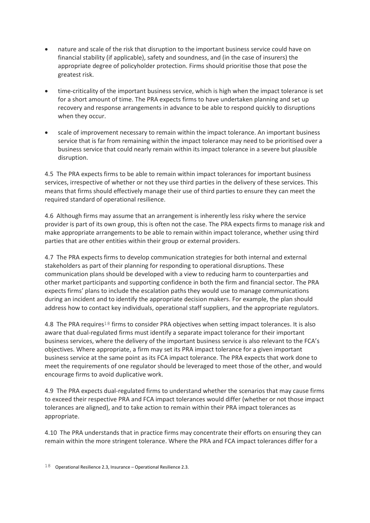- nature and scale of the risk that disruption to the important business service could have on financial stability (if applicable), safety and soundness, and (in the case of insurers) the appropriate degree of policyholder protection. Firms should prioritise those that pose the greatest risk.
- time-criticality of the important business service, which is high when the impact tolerance is set for a short amount of time. The PRA expects firms to have undertaken planning and set up recovery and response arrangements in advance to be able to respond quickly to disruptions when they occur.
- scale of improvement necessary to remain within the impact tolerance. An important business service that is far from remaining within the impact tolerance may need to be prioritised over a business service that could nearly remain within its impact tolerance in a severe but plausible disruption.

4.5 The PRA expects firms to be able to remain within impact tolerances for important business services, irrespective of whether or not they use third parties in the delivery of these services. This means that firms should effectively manage their use of third parties to ensure they can meet the required standard of operational resilience.

4.6 Although firms may assume that an arrangement is inherently less risky where the service provider is part of its own group, this is often not the case. The PRA expects firms to manage risk and make appropriate arrangements to be able to remain within impact tolerance, whether using third parties that are other entities within their group or external providers.

4.7 The PRA expects firms to develop communication strategies for both internal and external stakeholders as part of their planning for responding to operational disruptions. These communication plans should be developed with a view to reducing harm to counterparties and other market participants and supporting confidence in both the firm and financial sector. The PRA expects firms' plans to include the escalation paths they would use to manage communications during an incident and to identify the appropriate decision makers. For example, the plan should address how to contact key individuals, operational staff suppliers, and the appropriate regulators.

4.8 The PRA requires<sup>18</sup> firms to consider PRA objectives when setting impact tolerances. It is also aware that dual-regulated firms must identify a separate impact tolerance for their important business services, where the delivery of the important business service is also relevant to the FCA's objectives. Where appropriate, a firm may set its PRA impact tolerance for a given important business service at the same point as its FCA impact tolerance. The PRA expects that work done to meet the requirements of one regulator should be leveraged to meet those of the other, and would encourage firms to avoid duplicative work.

4.9 The PRA expects dual-regulated firms to understand whether the scenarios that may cause firms to exceed their respective PRA and FCA impact tolerances would differ (whether or not those impact tolerances are aligned), and to take action to remain within their PRA impact tolerances as appropriate.

4.10 The PRA understands that in practice firms may concentrate their efforts on ensuring they can remain within the more stringent tolerance. Where the PRA and FCA impact tolerances differ for a

 $18$  Operational Resilience 2.3, Insurance – Operational Resilience 2.3.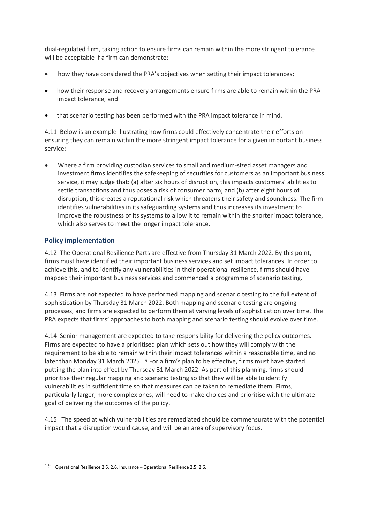dual-regulated firm, taking action to ensure firms can remain within the more stringent tolerance will be acceptable if a firm can demonstrate:

- how they have considered the PRA's objectives when setting their impact tolerances;
- how their response and recovery arrangements ensure firms are able to remain within the PRA impact tolerance; and
- that scenario testing has been performed with the PRA impact tolerance in mind.

4.11 Below is an example illustrating how firms could effectively concentrate their efforts on ensuring they can remain within the more stringent impact tolerance for a given important business service:

 Where a firm providing custodian services to small and medium-sized asset managers and investment firms identifies the safekeeping of securities for customers as an important business service, it may judge that: (a) after six hours of disruption, this impacts customers' abilities to settle transactions and thus poses a risk of consumer harm; and (b) after eight hours of disruption, this creates a reputational risk which threatens their safety and soundness. The firm identifies vulnerabilities in its safeguarding systems and thus increases its investment to improve the robustness of its systems to allow it to remain within the shorter impact tolerance, which also serves to meet the longer impact tolerance.

## **Policy implementation**

4.12 The Operational Resilience Parts are effective from Thursday 31 March 2022. By this point, firms must have identified their important business services and set impact tolerances. In order to achieve this, and to identify any vulnerabilities in their operational resilience, firms should have mapped their important business services and commenced a programme of scenario testing.

4.13 Firms are not expected to have performed mapping and scenario testing to the full extent of sophistication by Thursday 31 March 2022. Both mapping and scenario testing are ongoing processes, and firms are expected to perform them at varying levels of sophistication over time. The PRA expects that firms' approaches to both mapping and scenario testing should evolve over time.

4.14 Senior management are expected to take responsibility for delivering the policy outcomes. Firms are expected to have a prioritised plan which sets out how they will comply with the requirement to be able to remain within their impact tolerances within a reasonable time, and no later than Monday 31 March 2025.19 For a firm's plan to be effective, firms must have started putting the plan into effect by Thursday 31 March 2022. As part of this planning, firms should prioritise their regular mapping and scenario testing so that they will be able to identify vulnerabilities in sufficient time so that measures can be taken to remediate them. Firms, particularly larger, more complex ones, will need to make choices and prioritise with the ultimate goal of delivering the outcomes of the policy.

4.15 The speed at which vulnerabilities are remediated should be commensurate with the potential impact that a disruption would cause, and will be an area of supervisory focus.

<sup>19</sup> Operational Resilience 2.5, 2.6, Insurance – Operational Resilience 2.5, 2.6.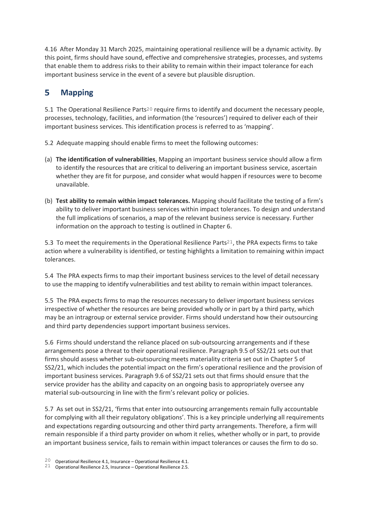4.16 After Monday 31 March 2025, maintaining operational resilience will be a dynamic activity. By this point, firms should have sound, effective and comprehensive strategies, processes, and systems that enable them to address risks to their ability to remain within their impact tolerance for each important business service in the event of a severe but plausible disruption.

#### <span id="page-11-0"></span>5 **Mapping**

5.1 The Operational Resilience Parts20 require firms to identify and document the necessary people, processes, technology, facilities, and information (the 'resources') required to deliver each of their important business services. This identification process is referred to as 'mapping'.

- 5.2 Adequate mapping should enable firms to meet the following outcomes:
- (a) **The identification of vulnerabilities**. Mapping an important business service should allow a firm to identify the resources that are critical to delivering an important business service, ascertain whether they are fit for purpose, and consider what would happen if resources were to become unavailable.
- (b) **Test ability to remain within impact tolerances.** Mapping should facilitate the testing of a firm's ability to deliver important business services within impact tolerances. To design and understand the full implications of scenarios, a map of the relevant business service is necessary. Further information on the approach to testing is outlined in Chapter 6.

5.3 To meet the requirements in the Operational Resilience Parts<sup>21</sup>, the PRA expects firms to take action where a vulnerability is identified, or testing highlights a limitation to remaining within impact tolerances.

5.4 The PRA expects firms to map their important business services to the level of detail necessary to use the mapping to identify vulnerabilities and test ability to remain within impact tolerances.

5.5 The PRA expects firms to map the resources necessary to deliver important business services irrespective of whether the resources are being provided wholly or in part by a third party, which may be an intragroup or external service provider. Firms should understand how their outsourcing and third party dependencies support important business services.

5.6 Firms should understand the reliance placed on sub-outsourcing arrangements and if these arrangements pose a threat to their operational resilience. Paragraph 9.5 of SS2/21 sets out that firms should assess whether sub-outsourcing meets materiality criteria set out in Chapter 5 of SS2/21, which includes the potential impact on the firm's operational resilience and the provision of important business services. Paragraph 9.6 of SS2/21 sets out that firms should ensure that the service provider has the ability and capacity on an ongoing basis to appropriately oversee any material sub-outsourcing in line with the firm's relevant policy or policies.

5.7 As set out in SS2/21, 'firms that enter into outsourcing arrangements remain fully accountable for complying with all their regulatory obligations'. This is a key principle underlying all requirements and expectations regarding outsourcing and other third party arrangements. Therefore, a firm will remain responsible if a third party provider on whom it relies, whether wholly or in part, to provide an important business service, fails to remain within impact tolerances or causes the firm to do so.

<sup>20</sup> Operational Resilience 4.1, Insurance – Operational Resilience 4.1.

<sup>21</sup> Operational Resilience 2.5, Insurance – Operational Resilience 2.5.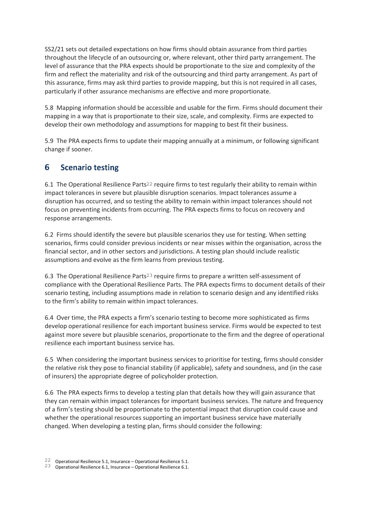SS2/21 sets out detailed expectations on how firms should obtain assurance from third parties throughout the lifecycle of an outsourcing or, where relevant, other third party arrangement. The level of assurance that the PRA expects should be proportionate to the size and complexity of the firm and reflect the materiality and risk of the outsourcing and third party arrangement. As part of this assurance, firms may ask third parties to provide mapping, but this is not required in all cases, particularly if other assurance mechanisms are effective and more proportionate.

5.8 Mapping information should be accessible and usable for the firm. Firms should document their mapping in a way that is proportionate to their size, scale, and complexity. Firms are expected to develop their own methodology and assumptions for mapping to best fit their business.

5.9 The PRA expects firms to update their mapping annually at a minimum, or following significant change if sooner.

#### <span id="page-12-0"></span>**Scenario testing** 6

6.1 The Operational Resilience Parts22 require firms to test regularly their ability to remain within impact tolerances in severe but plausible disruption scenarios. Impact tolerances assume a disruption has occurred, and so testing the ability to remain within impact tolerances should not focus on preventing incidents from occurring. The PRA expects firms to focus on recovery and response arrangements.

6.2 Firms should identify the severe but plausible scenarios they use for testing. When setting scenarios, firms could consider previous incidents or near misses within the organisation, across the financial sector, and in other sectors and jurisdictions. A testing plan should include realistic assumptions and evolve as the firm learns from previous testing.

6.3 The Operational Resilience Parts23 require firms to prepare a written self-assessment of compliance with the Operational Resilience Parts. The PRA expects firms to document details of their scenario testing, including assumptions made in relation to scenario design and any identified risks to the firm's ability to remain within impact tolerances.

6.4 Over time, the PRA expects a firm's scenario testing to become more sophisticated as firms develop operational resilience for each important business service. Firms would be expected to test against more severe but plausible scenarios, proportionate to the firm and the degree of operational resilience each important business service has.

6.5 When considering the important business services to prioritise for testing, firms should consider the relative risk they pose to financial stability (if applicable), safety and soundness, and (in the case of insurers) the appropriate degree of policyholder protection.

6.6 The PRA expects firms to develop a testing plan that details how they will gain assurance that they can remain within impact tolerances for important business services. The nature and frequency of a firm's testing should be proportionate to the potential impact that disruption could cause and whether the operational resources supporting an important business service have materially changed. When developing a testing plan, firms should consider the following:

<sup>22</sup> Operational Resilience 5.1, Insurance – Operational Resilience 5.1.

<sup>23</sup> Operational Resilience 6.1, Insurance – Operational Resilience 6.1.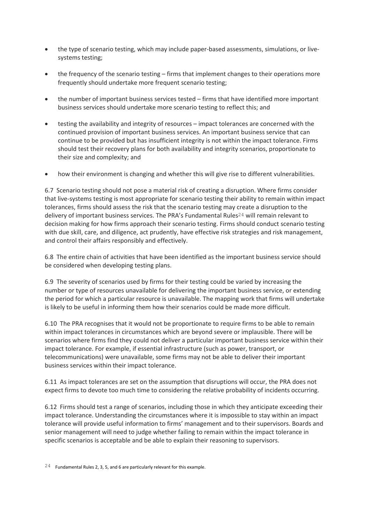- the type of scenario testing, which may include paper-based assessments, simulations, or livesystems testing;
- the frequency of the scenario testing firms that implement changes to their operations more frequently should undertake more frequent scenario testing;
- the number of important business services tested firms that have identified more important business services should undertake more scenario testing to reflect this; and
- testing the availability and integrity of resources impact tolerances are concerned with the continued provision of important business services. An important business service that can continue to be provided but has insufficient integrity is not within the impact tolerance. Firms should test their recovery plans for both availability and integrity scenarios, proportionate to their size and complexity; and
- how their environment is changing and whether this will give rise to different vulnerabilities.

6.7 Scenario testing should not pose a material risk of creating a disruption. Where firms consider that live-systems testing is most appropriate for scenario testing their ability to remain within impact tolerances, firms should assess the risk that the scenario testing may create a disruption to the delivery of important business services. The PRA's Fundamental Rules<sup>24</sup> will remain relevant to decision making for how firms approach their scenario testing. Firms should conduct scenario testing with due skill, care, and diligence, act prudently, have effective risk strategies and risk management, and control their affairs responsibly and effectively.

6.8 The entire chain of activities that have been identified as the important business service should be considered when developing testing plans.

6.9 The severity of scenarios used by firms for their testing could be varied by increasing the number or type of resources unavailable for delivering the important business service, or extending the period for which a particular resource is unavailable. The mapping work that firms will undertake is likely to be useful in informing them how their scenarios could be made more difficult.

6.10 The PRA recognises that it would not be proportionate to require firms to be able to remain within impact tolerances in circumstances which are beyond severe or implausible. There will be scenarios where firms find they could not deliver a particular important business service within their impact tolerance. For example, if essential infrastructure (such as power, transport, or telecommunications) were unavailable, some firms may not be able to deliver their important business services within their impact tolerance.

6.11 As impact tolerances are set on the assumption that disruptions will occur, the PRA does not expect firms to devote too much time to considering the relative probability of incidents occurring.

6.12 Firms should test a range of scenarios, including those in which they anticipate exceeding their impact tolerance. Understanding the circumstances where it is impossible to stay within an impact tolerance will provide useful information to firms' management and to their supervisors. Boards and senior management will need to judge whether failing to remain within the impact tolerance in specific scenarios is acceptable and be able to explain their reasoning to supervisors.

 $24$  Fundamental Rules 2, 3, 5, and 6 are particularly relevant for this example.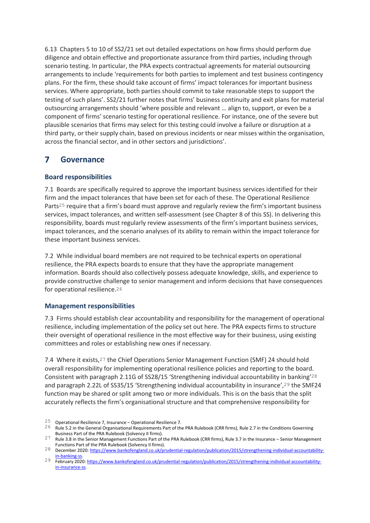6.13 Chapters 5 to 10 of SS2/21 set out detailed expectations on how firms should perform due diligence and obtain effective and proportionate assurance from third parties, including through scenario testing. In particular, the PRA expects contractual agreements for material outsourcing arrangements to include 'requirements for both parties to implement and test business contingency plans. For the firm, these should take account of firms' impact tolerances for important business services. Where appropriate, both parties should commit to take reasonable steps to support the testing of such plans'. SS2/21 further notes that firms' business continuity and exit plans for material outsourcing arrangements should 'where possible and relevant … align to, support, or even be a component of firms' scenario testing for operational resilience. For instance, one of the severe but plausible scenarios that firms may select for this testing could involve a failure or disruption at a third party, or their supply chain, based on previous incidents or near misses within the organisation, across the financial sector, and in other sectors and jurisdictions'.

#### <span id="page-14-0"></span>**Governance** 7

## **Board responsibilities**

7.1 Boards are specifically required to approve the important business services identified for their firm and the impact tolerances that have been set for each of these. The Operational Resilience Parts25 require that a firm's board must approve and regularly review the firm's important business services, impact tolerances, and written self-assessment (see Chapter 8 of this SS). In delivering this responsibility, boards must regularly review assessments of the firm's important business services, impact tolerances, and the scenario analyses of its ability to remain within the impact tolerance for these important business services.

7.2 While individual board members are not required to be technical experts on operational resilience, the PRA expects boards to ensure that they have the appropriate management information. Boards should also collectively possess adequate knowledge, skills, and experience to provide constructive challenge to senior management and inform decisions that have consequences for operational resilience.26

## **Management responsibilities**

7.3 Firms should establish clear accountability and responsibility for the management of operational resilience, including implementation of the policy set out here. The PRA expects firms to structure their oversight of operational resilience in the most effective way for their business, using existing committees and roles or establishing new ones if necessary.

7.4 Where it exists,27 the Chief Operations Senior Management Function (SMF) 24 should hold overall responsibility for implementing operational resilience policies and reporting to the board. Consistent with paragraph 2.11G of SS28/15 'Strengthening individual accountability in banking'28 and paragraph 2.22L of SS35/15 'Strengthening individual accountability in insurance',29 the SMF24 function may be shared or split among two or more individuals. This is on the basis that the split accurately reflects the firm's organisational structure and that comprehensive responsibility for

<sup>25</sup> Operational Resilience 7, Insurance – Operational Resilience 7.

<sup>26</sup> Rule 5.2 in the General Organisational Requirements Part of the PRA Rulebook (CRR firms), Rule 2.7 in the Conditions Governing Business Part of the PRA Rulebook (Solvency II firms).

<sup>27</sup> Rule 3.8 in the Senior Management Functions Part of the PRA Rulebook (CRR firms), Rule 3.7 in the Insurance – Senior Management Functions Part of the PRA Rulebook (Solvency II firms).

<sup>28</sup> December 2020[: https://www.bankofengland.co.uk/prudential-regulation/publication/2015/strengthening-individual-accountability](https://www.bankofengland.co.uk/prudential-regulation/publication/2015/strengthening-individual-accountability-in-banking-ss)in-banking

<sup>29</sup> February 2020[: https://www.bankofengland.co.uk/prudential-regulation/publication/2015/strengthening-individual-accountability](https://www.bankofengland.co.uk/prudential-regulation/publication/2015/strengthening-individual-accountability-in-insurance-ss)[in-insurance-ss.](https://www.bankofengland.co.uk/prudential-regulation/publication/2015/strengthening-individual-accountability-in-insurance-ss)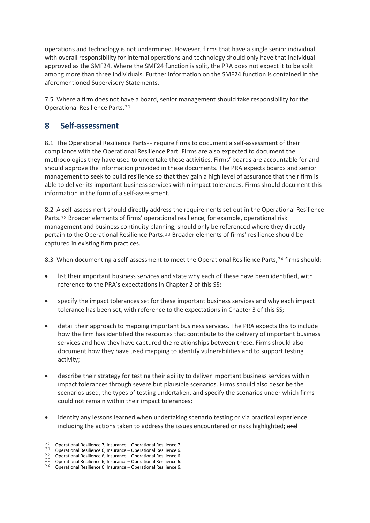operations and technology is not undermined. However, firms that have a single senior individual with overall responsibility for internal operations and technology should only have that individual approved as the SMF24. Where the SMF24 function is split, the PRA does not expect it to be split among more than three individuals. Further information on the SMF24 function is contained in the aforementioned Supervisory Statements.

7.5 Where a firm does not have a board, senior management should take responsibility for the Operational Resilience Parts.30

#### <span id="page-15-0"></span>8 Self-assessment

8.1 The Operational Resilience Parts<sup>31</sup> require firms to document a self-assessment of their compliance with the Operational Resilience Part. Firms are also expected to document the methodologies they have used to undertake these activities. Firms' boards are accountable for and should approve the information provided in these documents. The PRA expects boards and senior management to seek to build resilience so that they gain a high level of assurance that their firm is able to deliver its important business services within impact tolerances. Firms should document this information in the form of a self-assessment.

8.2 A self-assessment should directly address the requirements set out in the Operational Resilience Parts.32 Broader elements of firms' operational resilience, for example, operational risk management and business continuity planning, should only be referenced where they directly pertain to the Operational Resilience Parts.33 Broader elements of firms' resilience should be captured in existing firm practices.

8.3 When documenting a self-assessment to meet the Operational Resilience Parts, 34 firms should:

- list their important business services and state why each of these have been identified, with reference to the PRA's expectations in Chapter 2 of this SS;
- specify the impact tolerances set for these important business services and why each impact tolerance has been set, with reference to the expectations in Chapter 3 of this SS;
- detail their approach to mapping important business services. The PRA expects this to include how the firm has identified the resources that contribute to the delivery of important business services and how they have captured the relationships between these. Firms should also document how they have used mapping to identify vulnerabilities and to support testing activity;
- describe their strategy for testing their ability to deliver important business services within impact tolerances through severe but plausible scenarios. Firms should also describe the scenarios used, the types of testing undertaken, and specify the scenarios under which firms could not remain within their impact tolerances;
- identify any lessons learned when undertaking scenario testing or via practical experience, including the actions taken to address the issues encountered or risks highlighted; and

 $30$  Operational Resilience 7, Insurance – Operational Resilience 7.

 $31$  Operational Resilience 6, Insurance – Operational Resilience 6.

 $32$  Operational Resilience 6, Insurance – Operational Resilience 6. 33 Operational Resilience 6, Insurance – Operational Resilience 6.

 $34$  Operational Resilience 6, Insurance – Operational Resilience 6.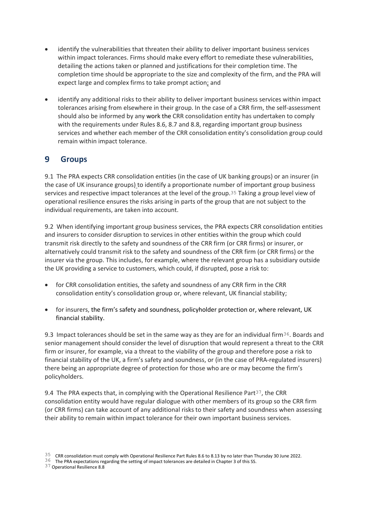- identify the vulnerabilities that threaten their ability to deliver important business services within impact tolerances. Firms should make every effort to remediate these vulnerabilities, detailing the actions taken or planned and justifications for their completion time. The completion time should be appropriate to the size and complexity of the firm, and the PRA will expect large and complex firms to take prompt action; and
- identify any additional risks to their ability to deliver important business services within impact tolerances arising from elsewhere in their group. In the case of a CRR firm, the self-assessment should also be informed by any work the CRR consolidation entity has undertaken to comply with the requirements under Rules 8.6, 8.7 and 8.8, regarding important group business services and whether each member of the CRR consolidation entity's consolidation group could remain within impact tolerance.

#### <span id="page-16-0"></span>9 **Groups**

9.1 The PRA expects CRR consolidation entities (in the case of UK banking groups) or an insurer (in the case of UK insurance groups) to identify a proportionate number of important group business services and respective impact tolerances at the level of the group.35 Taking a group level view of operational resilience ensures the risks arising in parts of the group that are not subject to the individual requirements, are taken into account.

9.2 When identifying important group business services, the PRA expects CRR consolidation entities and insurers to consider disruption to services in other entities within the group which could transmit risk directly to the safety and soundness of the CRR firm (or CRR firms) or insurer, or alternatively could transmit risk to the safety and soundness of the CRR firm (or CRR firms) or the insurer via the group. This includes, for example, where the relevant group has a subsidiary outside the UK providing a service to customers, which could, if disrupted, pose a risk to:

- for CRR consolidation entities, the safety and soundness of any CRR firm in the CRR consolidation entity's consolidation group or, where relevant, UK financial stability;
- for insurers, the firm's safety and soundness, policyholder protection or, where relevant, UK financial stability.

9.3 Impact tolerances should be set in the same way as they are for an individual firm<sup>36</sup>. Boards and senior management should consider the level of disruption that would represent a threat to the CRR firm or insurer, for example, via a threat to the viability of the group and therefore pose a risk to financial stability of the UK, a firm's safety and soundness, or (in the case of PRA-regulated insurers) there being an appropriate degree of protection for those who are or may become the firm's policyholders.

9.4 The PRA expects that, in complying with the Operational Resilience Part<sup>37</sup>, the CRR consolidation entity would have regular dialogue with other members of its group so the CRR firm (or CRR firms) can take account of any additional risks to their safety and soundness when assessing their ability to remain within impact tolerance for their own important business services.

 $35$  CRR consolidation must comply with Operational Resilience Part Rules 8.6 to 8.13 by no later than Thursday 30 June 2022.

<sup>36</sup> The PRA expectations regarding the setting of impact tolerances are detailed in Chapter 3 of this SS.

<sup>37</sup> Operational Resilience 8.8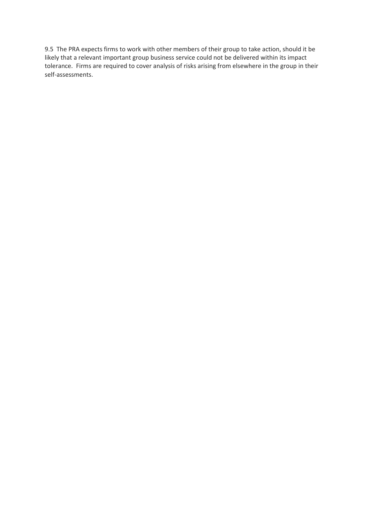9.5 The PRA expects firms to work with other members of their group to take action, should it be likely that a relevant important group business service could not be delivered within its impact tolerance. Firms are required to cover analysis of risks arising from elsewhere in the group in their self-assessments.